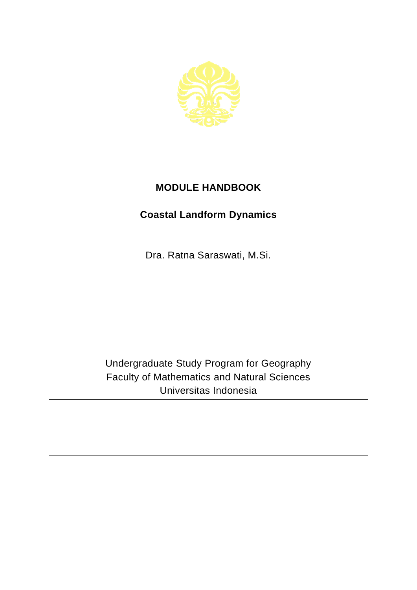

## **MODULE HANDBOOK**

## **Coastal Landform Dynamics**

Dra. Ratna Saraswati, M.Si.

Undergraduate Study Program for Geography Faculty of Mathematics and Natural Sciences Universitas Indonesia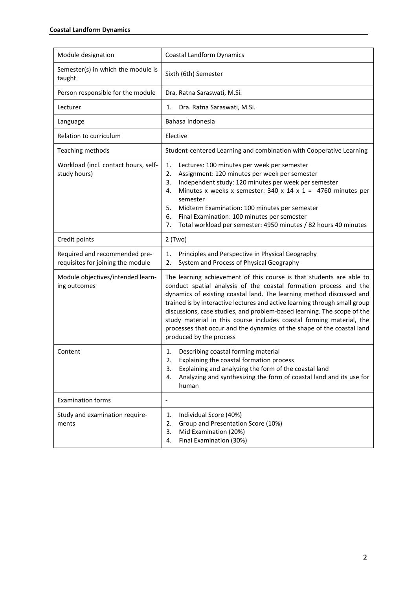| Module designation                                                 | <b>Coastal Landform Dynamics</b>                                                                                                                                                                                                                                                                                                                                                                                                                                                                                                                        |
|--------------------------------------------------------------------|---------------------------------------------------------------------------------------------------------------------------------------------------------------------------------------------------------------------------------------------------------------------------------------------------------------------------------------------------------------------------------------------------------------------------------------------------------------------------------------------------------------------------------------------------------|
| Semester(s) in which the module is<br>taught                       | Sixth (6th) Semester                                                                                                                                                                                                                                                                                                                                                                                                                                                                                                                                    |
| Person responsible for the module                                  | Dra. Ratna Saraswati, M.Si.                                                                                                                                                                                                                                                                                                                                                                                                                                                                                                                             |
| Lecturer                                                           | Dra. Ratna Saraswati, M.Si.<br>1.                                                                                                                                                                                                                                                                                                                                                                                                                                                                                                                       |
| Language                                                           | Bahasa Indonesia                                                                                                                                                                                                                                                                                                                                                                                                                                                                                                                                        |
| Relation to curriculum                                             | Elective                                                                                                                                                                                                                                                                                                                                                                                                                                                                                                                                                |
| Teaching methods                                                   | Student-centered Learning and combination with Cooperative Learning                                                                                                                                                                                                                                                                                                                                                                                                                                                                                     |
| Workload (incl. contact hours, self-<br>study hours)               | 1.<br>Lectures: 100 minutes per week per semester<br>2.<br>Assignment: 120 minutes per week per semester<br>Independent study: 120 minutes per week per semester<br>3.<br>Minutes x weeks x semester: 340 x 14 x 1 = 4760 minutes per<br>4.<br>semester<br>5.<br>Midterm Examination: 100 minutes per semester<br>Final Examination: 100 minutes per semester<br>6.<br>Total workload per semester: 4950 minutes / 82 hours 40 minutes<br>7.                                                                                                            |
| Credit points                                                      | $2$ (Two)                                                                                                                                                                                                                                                                                                                                                                                                                                                                                                                                               |
| Required and recommended pre-<br>requisites for joining the module | Principles and Perspective in Physical Geography<br>1.<br>System and Process of Physical Geography<br>2.                                                                                                                                                                                                                                                                                                                                                                                                                                                |
| Module objectives/intended learn-<br>ing outcomes                  | The learning achievement of this course is that students are able to<br>conduct spatial analysis of the coastal formation process and the<br>dynamics of existing coastal land. The learning method discussed and<br>trained is by interactive lectures and active learning through small group<br>discussions, case studies, and problem-based learning. The scope of the<br>study material in this course includes coastal forming material, the<br>processes that occur and the dynamics of the shape of the coastal land<br>produced by the process |
| Content                                                            | Describing coastal forming material<br>1.<br>Explaining the coastal formation process<br>2.<br>3.<br>Explaining and analyzing the form of the coastal land<br>Analyzing and synthesizing the form of coastal land and its use for<br>4.<br>human                                                                                                                                                                                                                                                                                                        |
| <b>Examination forms</b>                                           | $\overline{a}$                                                                                                                                                                                                                                                                                                                                                                                                                                                                                                                                          |
| Study and examination require-<br>ments                            | Individual Score (40%)<br>1.<br>Group and Presentation Score (10%)<br>2.<br>Mid Examination (20%)<br>3.<br>Final Examination (30%)<br>4.                                                                                                                                                                                                                                                                                                                                                                                                                |